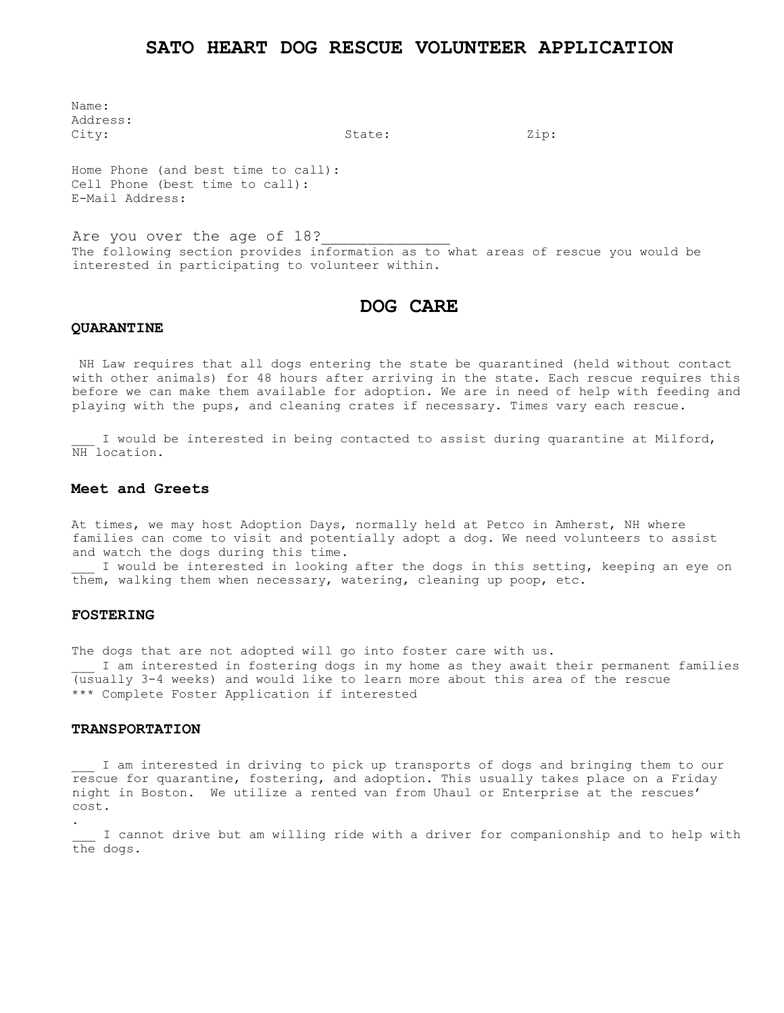# **SATO HEART DOG RESCUE VOLUNTEER APPLICATION**

Name: Address: City:  $\qquad \qquad$  State:  $\qquad \qquad$  Zip:

Home Phone (and best time to call): Cell Phone (best time to call): E-Mail Address:

Are you over the age of 18? The following section provides information as to what areas of rescue you would be interested in participating to volunteer within.

# **DOG CARE**

#### **QUARANTINE**

NH Law requires that all dogs entering the state be quarantined (held without contact with other animals) for 48 hours after arriving in the state. Each rescue requires this before we can make them available for adoption. We are in need of help with feeding and playing with the pups, and cleaning crates if necessary. Times vary each rescue.

I would be interested in being contacted to assist during quarantine at Milford, NH location.

## **Meet and Greets**

At times, we may host Adoption Days, normally held at Petco in Amherst, NH where families can come to visit and potentially adopt a dog. We need volunteers to assist and watch the dogs during this time.

I would be interested in looking after the dogs in this setting, keeping an eye on them, walking them when necessary, watering, cleaning up poop, etc.

## **FOSTERING**

.

The dogs that are not adopted will go into foster care with us. I am interested in fostering dogs in my home as they await their permanent families (usually 3-4 weeks) and would like to learn more about this area of the rescue \*\*\* Complete Foster Application if interested

#### **TRANSPORTATION**

I am interested in driving to pick up transports of dogs and bringing them to our rescue for quarantine, fostering, and adoption. This usually takes place on a Friday night in Boston. We utilize a rented van from Uhaul or Enterprise at the rescues' cost.

I cannot drive but am willing ride with a driver for companionship and to help with the dogs.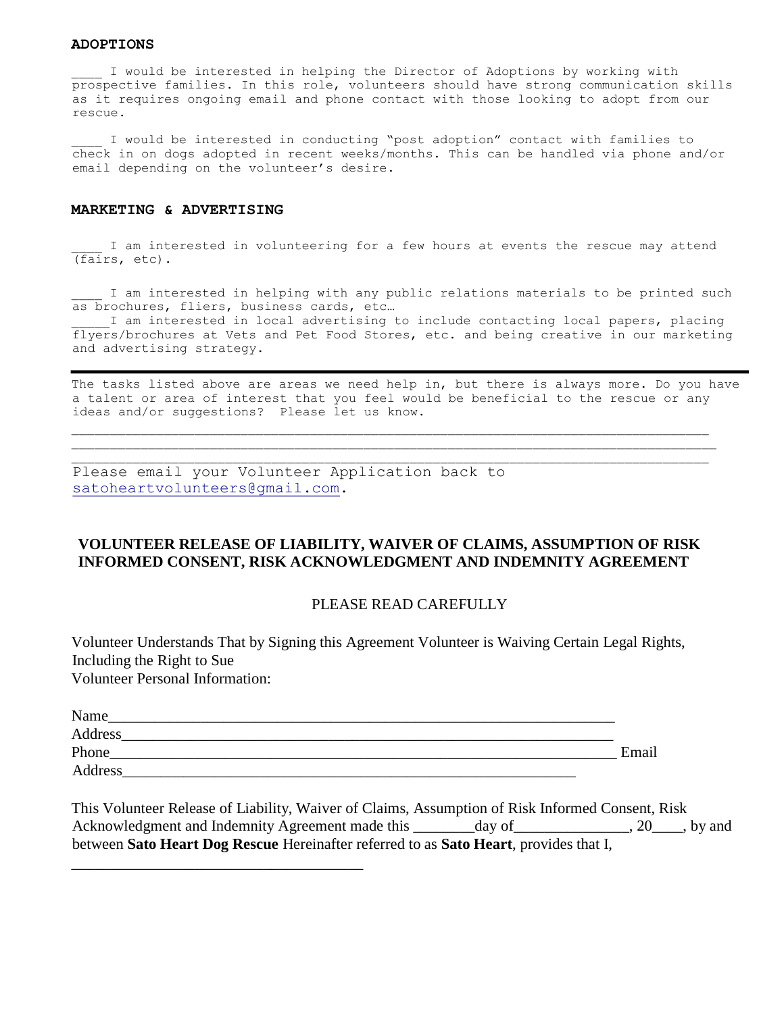## **ADOPTIONS**

\_\_\_\_ I would be interested in helping the Director of Adoptions by working with prospective families. In this role, volunteers should have strong communication skills as it requires ongoing email and phone contact with those looking to adopt from our rescue.

I would be interested in conducting "post adoption" contact with families to check in on dogs adopted in recent weeks/months. This can be handled via phone and/or email depending on the volunteer's desire.

## **MARKETING & ADVERTISING**

I am interested in volunteering for a few hours at events the rescue may attend (fairs, etc).

I am interested in helping with any public relations materials to be printed such as brochures, fliers, business cards, etc…

I am interested in local advertising to include contacting local papers, placing flyers/brochures at Vets and Pet Food Stores, etc. and being creative in our marketing and advertising strategy.

The tasks listed above are areas we need help in, but there is always more. Do you have a talent or area of interest that you feel would be beneficial to the rescue or any ideas and/or suggestions? Please let us know.

\_\_\_\_\_\_\_\_\_\_\_\_\_\_\_\_\_\_\_\_\_\_\_\_\_\_\_\_\_\_\_\_\_\_\_\_\_\_\_\_\_\_\_\_\_\_\_\_\_\_\_\_\_\_\_\_\_\_\_\_\_\_\_\_\_\_\_\_\_\_\_\_\_\_\_\_\_\_\_\_\_\_\_\_ \_\_\_\_\_\_\_\_\_\_\_\_\_\_\_\_\_\_\_\_\_\_\_\_\_\_\_\_\_\_\_\_\_\_\_\_\_\_\_\_\_\_\_\_\_\_\_\_\_\_\_\_\_\_\_\_\_\_\_\_\_\_\_\_\_\_\_\_\_\_\_\_\_\_\_\_\_\_\_\_\_\_\_

Please email your Volunteer Application back to satoheartvolunteers@gmail.com.

\_\_\_\_\_\_\_\_\_\_\_\_\_\_\_\_\_\_\_\_\_\_\_\_\_\_\_\_\_\_\_\_\_\_\_\_\_\_

# **VOLUNTEER RELEASE OF LIABILITY, WAIVER OF CLAIMS, ASSUMPTION OF RISK INFORMED CONSENT, RISK ACKNOWLEDGMENT AND INDEMNITY AGREEMENT**

# PLEASE READ CAREFULLY

Volunteer Understands That by Signing this Agreement Volunteer is Waiving Certain Legal Rights, Including the Right to Sue Volunteer Personal Information:

| Name    |       |
|---------|-------|
| Address |       |
| Phone   | Email |
| Address |       |

This Volunteer Release of Liability, Waiver of Claims, Assumption of Risk Informed Consent, Risk Acknowledgment and Indemnity Agreement made this \_\_\_\_\_\_\_day of \_\_\_\_\_\_\_\_\_\_\_\_, 20\_\_\_\_, by and between **Sato Heart Dog Rescue** Hereinafter referred to as **Sato Heart**, provides that I,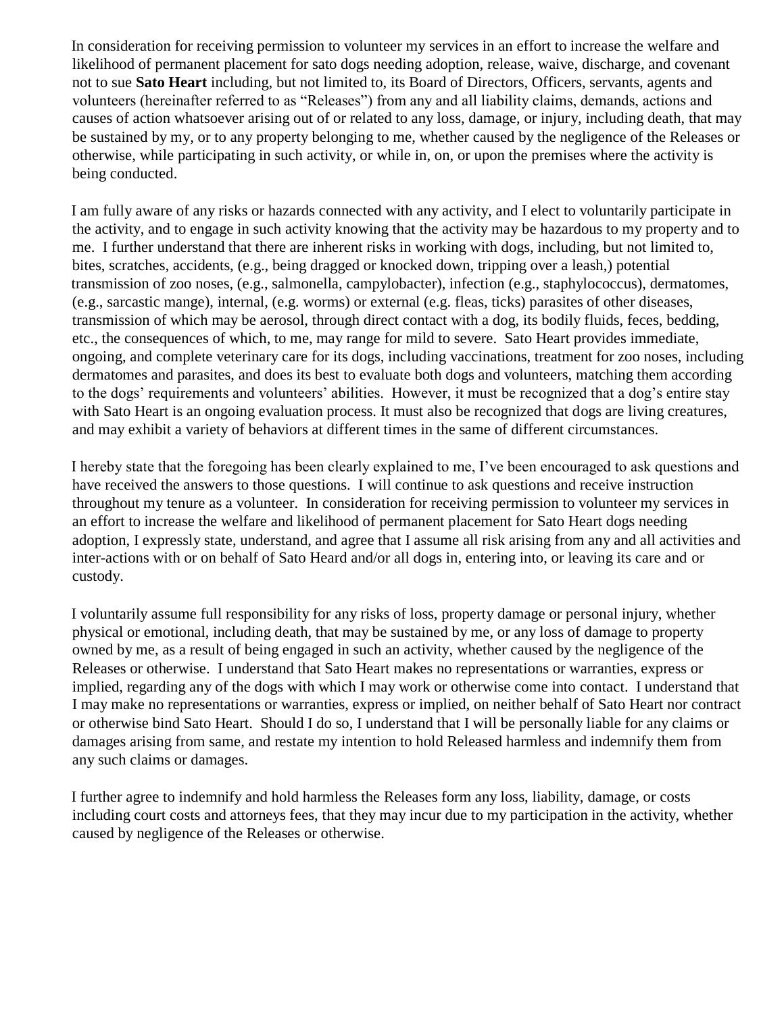In consideration for receiving permission to volunteer my services in an effort to increase the welfare and likelihood of permanent placement for sato dogs needing adoption, release, waive, discharge, and covenant not to sue **Sato Heart** including, but not limited to, its Board of Directors, Officers, servants, agents and volunteers (hereinafter referred to as "Releases") from any and all liability claims, demands, actions and causes of action whatsoever arising out of or related to any loss, damage, or injury, including death, that may be sustained by my, or to any property belonging to me, whether caused by the negligence of the Releases or otherwise, while participating in such activity, or while in, on, or upon the premises where the activity is being conducted.

I am fully aware of any risks or hazards connected with any activity, and I elect to voluntarily participate in the activity, and to engage in such activity knowing that the activity may be hazardous to my property and to me. I further understand that there are inherent risks in working with dogs, including, but not limited to, bites, scratches, accidents, (e.g., being dragged or knocked down, tripping over a leash,) potential transmission of zoo noses, (e.g., salmonella, campylobacter), infection (e.g., staphylococcus), dermatomes, (e.g., sarcastic mange), internal, (e.g. worms) or external (e.g. fleas, ticks) parasites of other diseases, transmission of which may be aerosol, through direct contact with a dog, its bodily fluids, feces, bedding, etc., the consequences of which, to me, may range for mild to severe. Sato Heart provides immediate, ongoing, and complete veterinary care for its dogs, including vaccinations, treatment for zoo noses, including dermatomes and parasites, and does its best to evaluate both dogs and volunteers, matching them according to the dogs' requirements and volunteers' abilities. However, it must be recognized that a dog's entire stay with Sato Heart is an ongoing evaluation process. It must also be recognized that dogs are living creatures, and may exhibit a variety of behaviors at different times in the same of different circumstances.

I hereby state that the foregoing has been clearly explained to me, I've been encouraged to ask questions and have received the answers to those questions. I will continue to ask questions and receive instruction throughout my tenure as a volunteer. In consideration for receiving permission to volunteer my services in an effort to increase the welfare and likelihood of permanent placement for Sato Heart dogs needing adoption, I expressly state, understand, and agree that I assume all risk arising from any and all activities and inter-actions with or on behalf of Sato Heard and/or all dogs in, entering into, or leaving its care and or custody.

I voluntarily assume full responsibility for any risks of loss, property damage or personal injury, whether physical or emotional, including death, that may be sustained by me, or any loss of damage to property owned by me, as a result of being engaged in such an activity, whether caused by the negligence of the Releases or otherwise. I understand that Sato Heart makes no representations or warranties, express or implied, regarding any of the dogs with which I may work or otherwise come into contact. I understand that I may make no representations or warranties, express or implied, on neither behalf of Sato Heart nor contract or otherwise bind Sato Heart. Should I do so, I understand that I will be personally liable for any claims or damages arising from same, and restate my intention to hold Released harmless and indemnify them from any such claims or damages.

I further agree to indemnify and hold harmless the Releases form any loss, liability, damage, or costs including court costs and attorneys fees, that they may incur due to my participation in the activity, whether caused by negligence of the Releases or otherwise.